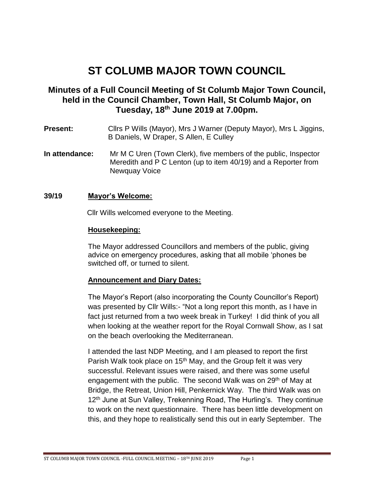# **ST COLUMB MAJOR TOWN COUNCIL**

## **Minutes of a Full Council Meeting of St Columb Major Town Council, held in the Council Chamber, Town Hall, St Columb Major, on Tuesday, 18th June 2019 at 7.00pm.**

- **Present:** Cllrs P Wills (Mayor), Mrs J Warner (Deputy Mayor), Mrs L Jiggins, B Daniels, W Draper, S Allen, E Culley
- **In attendance:** Mr M C Uren (Town Clerk), five members of the public, Inspector Meredith and P C Lenton (up to item 40/19) and a Reporter from Newquay Voice

#### **39/19 Mayor's Welcome:**

Cllr Wills welcomed everyone to the Meeting.

#### **Housekeeping:**

The Mayor addressed Councillors and members of the public, giving advice on emergency procedures, asking that all mobile 'phones be switched off, or turned to silent.

#### **Announcement and Diary Dates:**

The Mayor's Report (also incorporating the County Councillor's Report) was presented by Cllr Wills:- "Not a long report this month, as I have in fact just returned from a two week break in Turkey! I did think of you all when looking at the weather report for the Royal Cornwall Show, as I sat on the beach overlooking the Mediterranean.

I attended the last NDP Meeting, and I am pleased to report the first Parish Walk took place on 15<sup>th</sup> May, and the Group felt it was very successful. Relevant issues were raised, and there was some useful engagement with the public. The second Walk was on 29<sup>th</sup> of May at Bridge, the Retreat, Union Hill, Penkernick Way. The third Walk was on 12<sup>th</sup> June at Sun Valley, Trekenning Road, The Hurling's. They continue to work on the next questionnaire. There has been little development on this, and they hope to realistically send this out in early September. The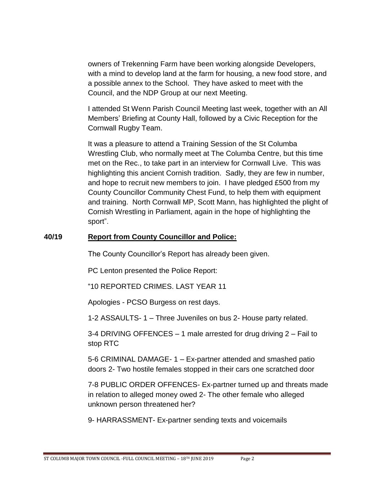owners of Trekenning Farm have been working alongside Developers, with a mind to develop land at the farm for housing, a new food store, and a possible annex to the School. They have asked to meet with the Council, and the NDP Group at our next Meeting.

I attended St Wenn Parish Council Meeting last week, together with an All Members' Briefing at County Hall, followed by a Civic Reception for the Cornwall Rugby Team.

It was a pleasure to attend a Training Session of the St Columba Wrestling Club, who normally meet at The Columba Centre, but this time met on the Rec., to take part in an interview for Cornwall Live. This was highlighting this ancient Cornish tradition. Sadly, they are few in number, and hope to recruit new members to join. I have pledged £500 from my County Councillor Community Chest Fund, to help them with equipment and training. North Cornwall MP, Scott Mann, has highlighted the plight of Cornish Wrestling in Parliament, again in the hope of highlighting the sport".

#### **40/19 Report from County Councillor and Police:**

The County Councillor's Report has already been given.

PC Lenton presented the Police Report:

"10 REPORTED CRIMES. LAST YEAR 11

Apologies - PCSO Burgess on rest days.

1-2 ASSAULTS- 1 – Three Juveniles on bus 2- House party related.

3-4 DRIVING OFFENCES – 1 male arrested for drug driving 2 – Fail to stop RTC

5-6 CRIMINAL DAMAGE- 1 – Ex-partner attended and smashed patio doors 2- Two hostile females stopped in their cars one scratched door

7-8 PUBLIC ORDER OFFENCES- Ex-partner turned up and threats made in relation to alleged money owed 2- The other female who alleged unknown person threatened her?

9- HARRASSMENT- Ex-partner sending texts and voicemails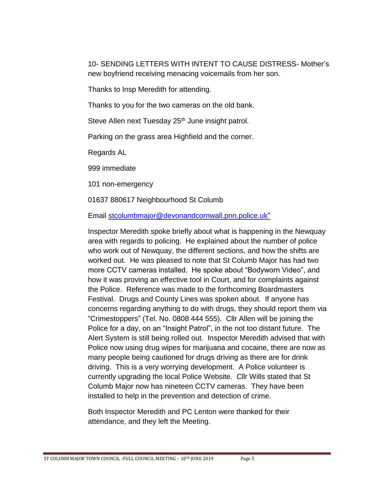10- SENDING LETTERS WITH INTENT TO CAUSE DISTRESS- Mother's new boyfriend receiving menacing voicemails from her son.

Thanks to Insp Meredith for attending.

Thanks to you for the two cameras on the old bank.

Steve Allen next Tuesday 25<sup>th</sup> June insight patrol.

Parking on the grass area Highfield and the corner.

Regards AL

999 immediate

101 non-emergency

01637 880617 Neighbourhood St Columb

Email [stcolumbmajor@devonandcornwall.pnn.police.uk"](mailto:stcolumbmajor@devonandcornwall.pnn.police.uk)

Inspector Meredith spoke briefly about what is happening in the Newquay area with regards to policing. He explained about the number of police who work out of Newquay, the different sections, and how the shifts are worked out. He was pleased to note that St Columb Major has had two more CCTV cameras installed. He spoke about "Bodyworn Video", and how it was proving an effective tool in Court, and for complaints against the Police. Reference was made to the forthcoming Boardmasters Festival. Drugs and County Lines was spoken about. If anyone has concerns regarding anything to do with drugs, they should report them via "Crimestoppers" (Tel. No. 0808 444 555). Cllr Allen will be joining the Police for a day, on an "Insight Patrol", in the not too distant future. The Alert System is still being rolled out. Inspector Meredith advised that with Police now using drug wipes for marijuana and cocaine, there are now as many people being cautioned for drugs driving as there are for drink driving. This is a very worrying development. A Police volunteer is currently upgrading the local Police Website. Cllr Wills stated that St Columb Major now has nineteen CCTV cameras. They have been installed to help in the prevention and detection of crime.

Both Inspector Meredith and PC Lenton were thanked for their attendance, and they left the Meeting.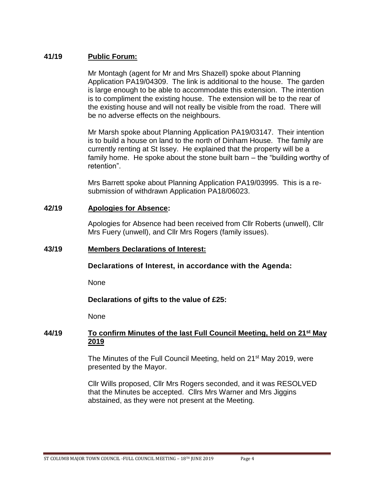#### **41/19 Public Forum:**

Mr Montagh (agent for Mr and Mrs Shazell) spoke about Planning Application PA19/04309. The link is additional to the house. The garden is large enough to be able to accommodate this extension. The intention is to compliment the existing house. The extension will be to the rear of the existing house and will not really be visible from the road. There will be no adverse effects on the neighbours.

Mr Marsh spoke about Planning Application PA19/03147. Their intention is to build a house on land to the north of Dinham House. The family are currently renting at St Issey. He explained that the property will be a family home. He spoke about the stone built barn – the "building worthy of retention".

Mrs Barrett spoke about Planning Application PA19/03995. This is a resubmission of withdrawn Application PA18/06023.

#### **42/19 Apologies for Absence:**

Apologies for Absence had been received from Cllr Roberts (unwell), Cllr Mrs Fuery (unwell), and Cllr Mrs Rogers (family issues).

#### **43/19 Members Declarations of Interest:**

**Declarations of Interest, in accordance with the Agenda:**

None

**Declarations of gifts to the value of £25:**

None

#### **44/19 To confirm Minutes of the last Full Council Meeting, held on 21st May 2019**

The Minutes of the Full Council Meeting, held on 21<sup>st</sup> May 2019, were presented by the Mayor.

Cllr Wills proposed, Cllr Mrs Rogers seconded, and it was RESOLVED that the Minutes be accepted. Cllrs Mrs Warner and Mrs Jiggins abstained, as they were not present at the Meeting.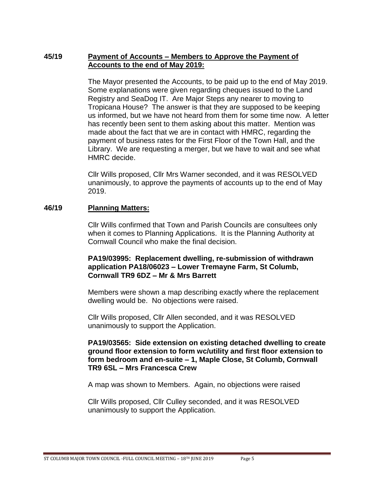## **45/19 Payment of Accounts – Members to Approve the Payment of Accounts to the end of May 2019:**

The Mayor presented the Accounts, to be paid up to the end of May 2019. Some explanations were given regarding cheques issued to the Land Registry and SeaDog IT. Are Major Steps any nearer to moving to Tropicana House? The answer is that they are supposed to be keeping us informed, but we have not heard from them for some time now. A letter has recently been sent to them asking about this matter. Mention was made about the fact that we are in contact with HMRC, regarding the payment of business rates for the First Floor of the Town Hall, and the Library. We are requesting a merger, but we have to wait and see what HMRC decide.

Cllr Wills proposed, Cllr Mrs Warner seconded, and it was RESOLVED unanimously, to approve the payments of accounts up to the end of May 2019.

#### **46/19 Planning Matters:**

Cllr Wills confirmed that Town and Parish Councils are consultees only when it comes to Planning Applications. It is the Planning Authority at Cornwall Council who make the final decision.

#### **PA19/03995: Replacement dwelling, re-submission of withdrawn application PA18/06023 – Lower Tremayne Farm, St Columb, Cornwall TR9 6DZ – Mr & Mrs Barrett**

Members were shown a map describing exactly where the replacement dwelling would be. No objections were raised.

Cllr Wills proposed, Cllr Allen seconded, and it was RESOLVED unanimously to support the Application.

#### **PA19/03565: Side extension on existing detached dwelling to create ground floor extension to form wc/utility and first floor extension to form bedroom and en-suite – 1, Maple Close, St Columb, Cornwall TR9 6SL – Mrs Francesca Crew**

A map was shown to Members. Again, no objections were raised

Cllr Wills proposed, Cllr Culley seconded, and it was RESOLVED unanimously to support the Application.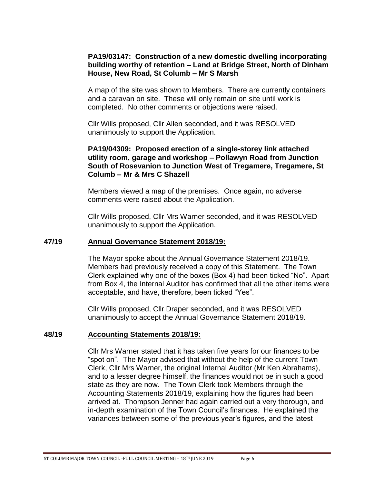#### **PA19/03147: Construction of a new domestic dwelling incorporating building worthy of retention – Land at Bridge Street, North of Dinham House, New Road, St Columb – Mr S Marsh**

A map of the site was shown to Members. There are currently containers and a caravan on site. These will only remain on site until work is completed. No other comments or objections were raised.

Cllr Wills proposed, Cllr Allen seconded, and it was RESOLVED unanimously to support the Application.

#### **PA19/04309: Proposed erection of a single-storey link attached utility room, garage and workshop – Pollawyn Road from Junction South of Rosevanion to Junction West of Tregamere, Tregamere, St Columb – Mr & Mrs C Shazell**

Members viewed a map of the premises. Once again, no adverse comments were raised about the Application.

Cllr Wills proposed, Cllr Mrs Warner seconded, and it was RESOLVED unanimously to support the Application.

#### **47/19 Annual Governance Statement 2018/19:**

The Mayor spoke about the Annual Governance Statement 2018/19. Members had previously received a copy of this Statement. The Town Clerk explained why one of the boxes (Box 4) had been ticked "No". Apart from Box 4, the Internal Auditor has confirmed that all the other items were acceptable, and have, therefore, been ticked "Yes".

Cllr Wills proposed, Cllr Draper seconded, and it was RESOLVED unanimously to accept the Annual Governance Statement 2018/19.

#### **48/19 Accounting Statements 2018/19:**

Cllr Mrs Warner stated that it has taken five years for our finances to be "spot on". The Mayor advised that without the help of the current Town Clerk, Cllr Mrs Warner, the original Internal Auditor (Mr Ken Abrahams), and to a lesser degree himself, the finances would not be in such a good state as they are now. The Town Clerk took Members through the Accounting Statements 2018/19, explaining how the figures had been arrived at. Thompson Jenner had again carried out a very thorough, and in-depth examination of the Town Council's finances. He explained the variances between some of the previous year's figures, and the latest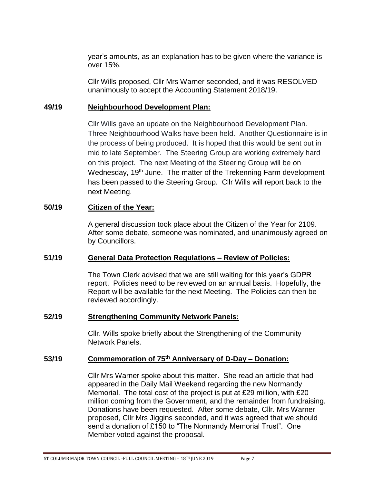year's amounts, as an explanation has to be given where the variance is over 15%.

Cllr Wills proposed, Cllr Mrs Warner seconded, and it was RESOLVED unanimously to accept the Accounting Statement 2018/19.

#### **49/19 Neighbourhood Development Plan:**

Cllr Wills gave an update on the Neighbourhood Development Plan. Three Neighbourhood Walks have been held. Another Questionnaire is in the process of being produced. It is hoped that this would be sent out in mid to late September. The Steering Group are working extremely hard on this project. The next Meeting of the Steering Group will be on Wednesday, 19<sup>th</sup> June. The matter of the Trekenning Farm development has been passed to the Steering Group. Cllr Wills will report back to the next Meeting.

## **50/19 Citizen of the Year:**

A general discussion took place about the Citizen of the Year for 2109. After some debate, someone was nominated, and unanimously agreed on by Councillors.

## **51/19 General Data Protection Regulations – Review of Policies:**

The Town Clerk advised that we are still waiting for this year's GDPR report. Policies need to be reviewed on an annual basis. Hopefully, the Report will be available for the next Meeting. The Policies can then be reviewed accordingly.

#### **52/19 Strengthening Community Network Panels:**

Cllr. Wills spoke briefly about the Strengthening of the Community Network Panels.

## **53/19 Commemoration of 75th Anniversary of D-Day – Donation:**

Cllr Mrs Warner spoke about this matter. She read an article that had appeared in the Daily Mail Weekend regarding the new Normandy Memorial. The total cost of the project is put at £29 million, with £20 million coming from the Government, and the remainder from fundraising. Donations have been requested. After some debate, Cllr. Mrs Warner proposed, Cllr Mrs Jiggins seconded, and it was agreed that we should send a donation of £150 to "The Normandy Memorial Trust". One Member voted against the proposal.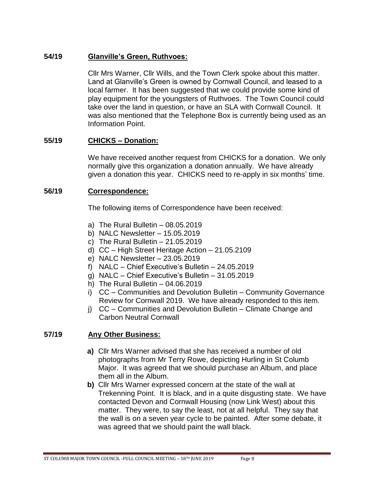## **54/19 Glanville's Green, Ruthvoes:**

Cllr Mrs Warner, Cllr Wills, and the Town Clerk spoke about this matter. Land at Glanville's Green is owned by Cornwall Council, and leased to a local farmer. It has been suggested that we could provide some kind of play equipment for the youngsters of Ruthvoes. The Town Council could take over the land in question, or have an SLA with Cornwall Council. It was also mentioned that the Telephone Box is currently being used as an Information Point.

#### **55/19 CHICKS – Donation:**

We have received another request from CHICKS for a donation. We only normally give this organization a donation annually. We have already given a donation this year. CHICKS need to re-apply in six months' time.

#### **56/19 Correspondence:**

The following items of Correspondence have been received:

- a) The Rural Bulletin 08.05.2019
- b) NALC Newsletter 15.05.2019
- c) The Rural Bulletin 21.05.2019
- d) CC High Street Heritage Action 21.05.2109
- e) NALC Newsletter 23.05.2019
- f) NALC Chief Executive's Bulletin 24.05.2019
- g) NALC Chief Executive's Bulletin 31.05.2019
- h) The Rural Bulletin 04.06.2019
- i) CC Communities and Devolution Bulletin Community Governance Review for Cornwall 2019. We have already responded to this item.
- j) CC Communities and Devolution Bulletin Climate Change and Carbon Neutral Cornwall

## **57/19 Any Other Business:**

- **a)** Cllr Mrs Warner advised that she has received a number of old photographs from Mr Terry Rowe, depicting Hurling in St Columb Major. It was agreed that we should purchase an Album, and place them all in the Album.
- **b)** Cllr Mrs Warner expressed concern at the state of the wall at Trekenning Point. It is black, and in a quite disgusting state. We have contacted Devon and Cornwall Housing (now Link West) about this matter. They were, to say the least, not at all helpful. They say that the wall is on a seven year cycle to be painted. After some debate, it was agreed that we should paint the wall black.